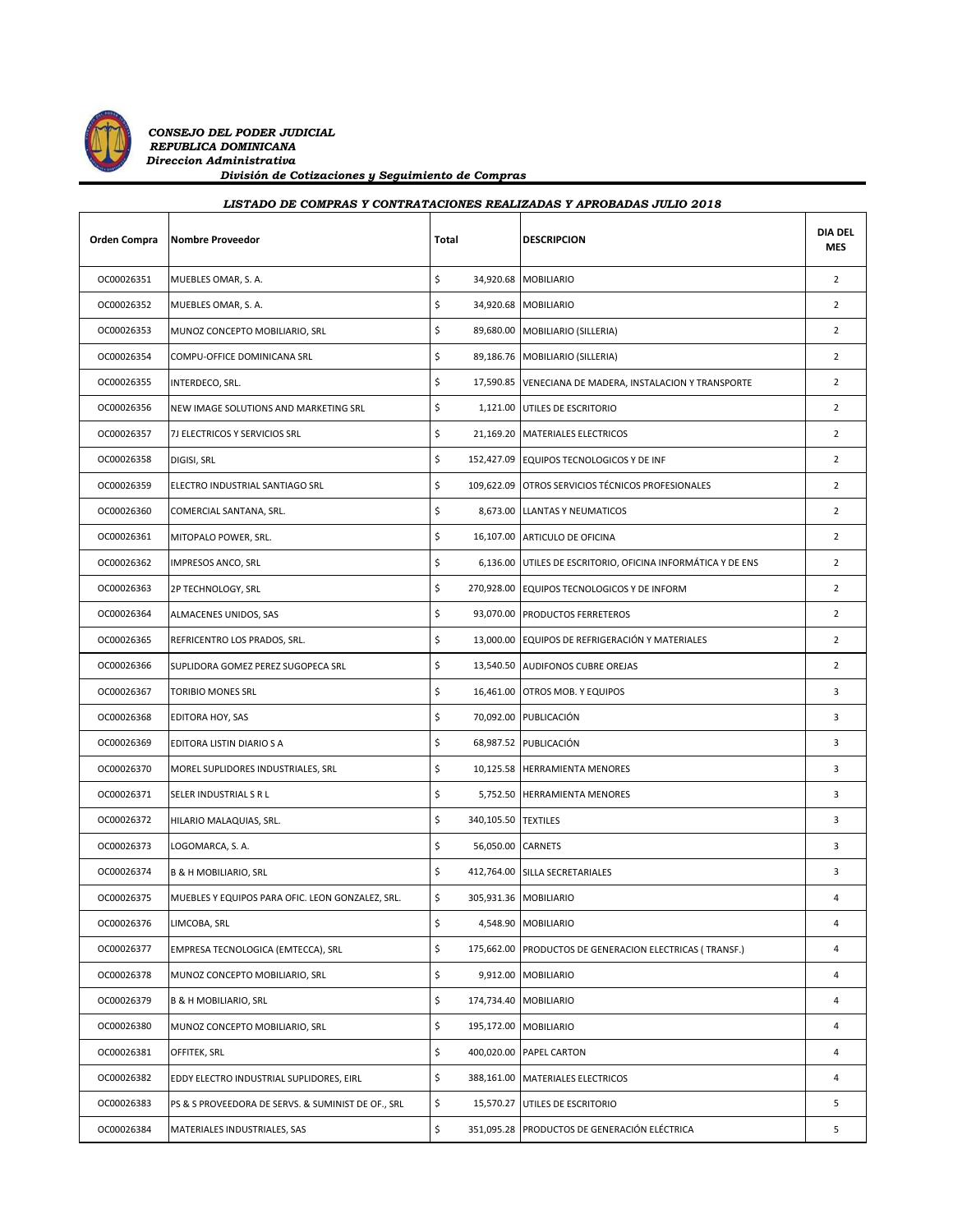

## *LISTADO DE COMPRAS Y CONTRATACIONES REALIZADAS Y APROBADAS JULIO 2018*

| Orden Compra | <b>Nombre Proveedor</b>                            | Total                     | <b>DESCRIPCION</b>                                          | <b>DIA DEL</b><br><b>MES</b> |
|--------------|----------------------------------------------------|---------------------------|-------------------------------------------------------------|------------------------------|
| OC00026351   | MUEBLES OMAR, S. A.                                | \$                        | 34,920.68 MOBILIARIO                                        | $\overline{2}$               |
| OC00026352   | MUEBLES OMAR, S. A.                                | \$                        | 34,920.68 MOBILIARIO                                        | $\overline{2}$               |
| OC00026353   | MUNOZ CONCEPTO MOBILIARIO, SRL                     | \$                        | 89,680.00 MOBILIARIO (SILLERIA)                             | $\overline{2}$               |
| OC00026354   | COMPU-OFFICE DOMINICANA SRL                        | \$                        | 89,186.76   MOBILIARIO (SILLERIA)                           | $\overline{2}$               |
| OC00026355   | INTERDECO, SRL.                                    | \$                        | 17,590.85 VENECIANA DE MADERA, INSTALACION Y TRANSPORTE     | $\overline{2}$               |
| OC00026356   | NEW IMAGE SOLUTIONS AND MARKETING SRL              | \$                        | 1,121.00 UTILES DE ESCRITORIO                               | $\overline{2}$               |
| OC00026357   | 7J ELECTRICOS Y SERVICIOS SRL                      | \$                        | 21,169.20 MATERIALES ELECTRICOS                             | $\overline{2}$               |
| OC00026358   | DIGISI, SRL                                        | \$                        | 152,427.09 EQUIPOS TECNOLOGICOS Y DE INF                    | $\overline{2}$               |
| OC00026359   | ELECTRO INDUSTRIAL SANTIAGO SRL                    | \$                        | 109,622.09 OTROS SERVICIOS TÉCNICOS PROFESIONALES           | $\overline{2}$               |
| OC00026360   | COMERCIAL SANTANA, SRL.                            | \$                        | 8,673.00 LLANTAS Y NEUMATICOS                               | $\overline{2}$               |
| OC00026361   | MITOPALO POWER, SRL.                               | \$                        | 16,107.00 ARTICULO DE OFICINA                               | $\overline{2}$               |
| OC00026362   | <b>IMPRESOS ANCO, SRL</b>                          | \$                        | 6,136.00 UTILES DE ESCRITORIO, OFICINA INFORMÁTICA Y DE ENS | $\overline{2}$               |
| OC00026363   | 2P TECHNOLOGY, SRL                                 | \$                        | 270,928.00 EQUIPOS TECNOLOGICOS Y DE INFORM                 | $\overline{2}$               |
| OC00026364   | ALMACENES UNIDOS, SAS                              | \$                        | 93,070.00 PRODUCTOS FERRETEROS                              | $\overline{2}$               |
| OC00026365   | REFRICENTRO LOS PRADOS, SRL.                       | \$                        | 13,000.00 EQUIPOS DE REFRIGERACIÓN Y MATERIALES             | $\overline{2}$               |
| OC00026366   | SUPLIDORA GOMEZ PEREZ SUGOPECA SRL                 | \$                        | 13,540.50 AUDIFONOS CUBRE OREJAS                            | $\overline{2}$               |
| OC00026367   | <b>TORIBIO MONES SRL</b>                           | \$                        | 16,461.00 OTROS MOB. Y EQUIPOS                              | 3                            |
| OC00026368   | EDITORA HOY, SAS                                   | \$                        | 70,092.00 PUBLICACIÓN                                       | 3                            |
| OC00026369   | EDITORA LISTIN DIARIO S A                          | \$                        | 68,987.52 PUBLICACIÓN                                       | 3                            |
| OC00026370   | MOREL SUPLIDORES INDUSTRIALES, SRL                 | \$                        | 10,125.58 HERRAMIENTA MENORES                               | 3                            |
| OC00026371   | SELER INDUSTRIAL S R L                             | \$<br>5,752.50            | <b>HERRAMIENTA MENORES</b>                                  | 3                            |
| OC00026372   | HILARIO MALAQUIAS, SRL.                            | \$<br>340,105.50 TEXTILES |                                                             | 3                            |
| OC00026373   | LOGOMARCA, S. A.                                   | \$                        | 56,050.00 CARNETS                                           | 3                            |
| OC00026374   | <b>B &amp; H MOBILIARIO, SRL</b>                   | \$                        | 412,764.00 SILLA SECRETARIALES                              | 3                            |
| OC00026375   | MUEBLES Y EQUIPOS PARA OFIC. LEON GONZALEZ, SRL.   | \$                        | 305,931.36 MOBILIARIO                                       | 4                            |
| OC00026376   | LIMCOBA, SRL                                       | \$                        | 4,548.90 MOBILIARIO                                         | 4                            |
| OC00026377   | EMPRESA TECNOLOGICA (EMTECCA), SRL                 | \$<br>175,662.00          | PRODUCTOS DE GENERACION ELECTRICAS (TRANSF.)                | 4                            |
| OC00026378   | MUNOZ CONCEPTO MOBILIARIO, SRL                     | \$<br>9,912.00            | MOBILIARIO                                                  | 4                            |
| OC00026379   | <b>B &amp; H MOBILIARIO, SRL</b>                   | \$<br>174,734.40          | <b>MOBILIARIO</b>                                           | 4                            |
| OC00026380   | MUNOZ CONCEPTO MOBILIARIO, SRL                     | \$<br>195,172.00          | <b>MOBILIARIO</b>                                           | 4                            |
| OC00026381   | OFFITEK, SRL                                       | \$                        | 400,020.00 PAPEL CARTON                                     | 4                            |
| OC00026382   | EDDY ELECTRO INDUSTRIAL SUPLIDORES, EIRL           | \$<br>388,161.00          | MATERIALES ELECTRICOS                                       | 4                            |
| OC00026383   | PS & S PROVEEDORA DE SERVS. & SUMINIST DE OF., SRL | \$<br>15,570.27           | UTILES DE ESCRITORIO                                        | 5                            |
| OC00026384   | MATERIALES INDUSTRIALES, SAS                       | \$<br>351,095.28          | PRODUCTOS DE GENERACIÓN ELÉCTRICA                           | 5                            |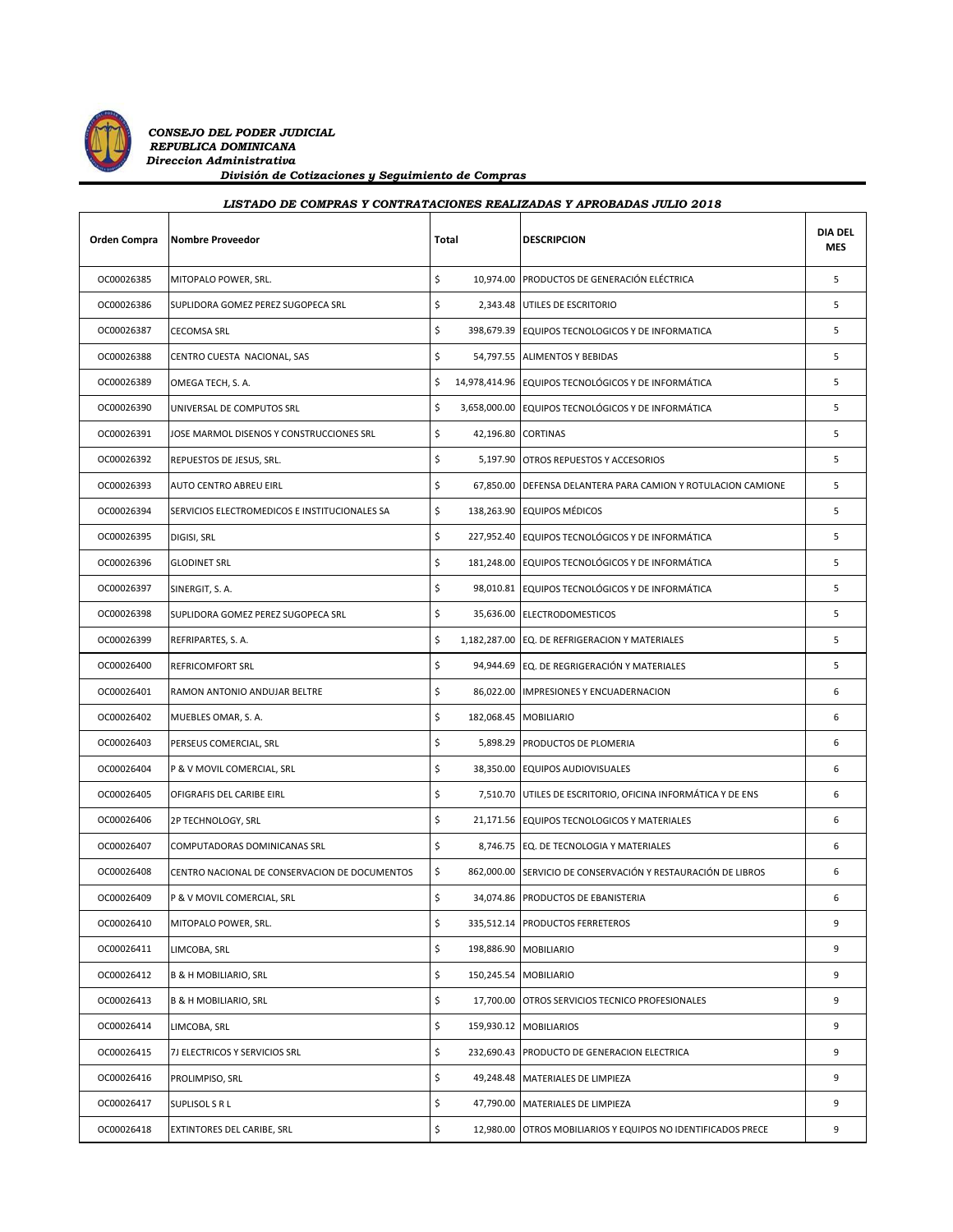

| Orden Compra | <b>Nombre Proveedor</b>                       | Total |                       | <b>DESCRIPCION</b>                                           | <b>DIA DEL</b><br><b>MES</b> |
|--------------|-----------------------------------------------|-------|-----------------------|--------------------------------------------------------------|------------------------------|
| OC00026385   | MITOPALO POWER, SRL.                          | \$    |                       | 10,974.00 PRODUCTOS DE GENERACIÓN ELÉCTRICA                  | 5                            |
| OC00026386   | SUPLIDORA GOMEZ PEREZ SUGOPECA SRL            | \$    |                       | 2,343.48 UTILES DE ESCRITORIO                                | 5                            |
| OC00026387   | <b>CECOMSA SRL</b>                            | \$    |                       | 398,679.39 EQUIPOS TECNOLOGICOS Y DE INFORMATICA             | 5                            |
| OC00026388   | CENTRO CUESTA NACIONAL, SAS                   | \$    |                       | 54,797.55 ALIMENTOS Y BEBIDAS                                | 5                            |
| OC00026389   | OMEGA TECH, S. A.                             | \$    |                       | 14,978,414.96 EQUIPOS TECNOLÓGICOS Y DE INFORMÁTICA          | 5                            |
| OC00026390   | UNIVERSAL DE COMPUTOS SRL                     | \$    |                       | 3,658,000.00 EQUIPOS TECNOLÓGICOS Y DE INFORMÁTICA           | 5                            |
| OC00026391   | JOSE MARMOL DISENOS Y CONSTRUCCIONES SRL      | \$    | 42,196.80 CORTINAS    |                                                              | 5                            |
| OC00026392   | REPUESTOS DE JESUS, SRL.                      | \$    |                       | 5,197.90 OTROS REPUESTOS Y ACCESORIOS                        | 5                            |
| OC00026393   | AUTO CENTRO ABREU EIRL                        | \$    |                       | 67,850.00 DEFENSA DELANTERA PARA CAMION Y ROTULACION CAMIONE | 5                            |
| OC00026394   | SERVICIOS ELECTROMEDICOS E INSTITUCIONALES SA | \$    |                       | 138,263.90 EQUIPOS MÉDICOS                                   | 5                            |
| OC00026395   | DIGISI, SRL                                   | \$    |                       | 227,952.40 EQUIPOS TECNOLÓGICOS Y DE INFORMÁTICA             | 5                            |
| OC00026396   | <b>GLODINET SRL</b>                           | \$    |                       | 181,248.00 EQUIPOS TECNOLÓGICOS Y DE INFORMÁTICA             | 5                            |
| OC00026397   | SINERGIT, S.A.                                | \$    |                       | 98,010.81 EQUIPOS TECNOLÓGICOS Y DE INFORMÁTICA              | 5                            |
| OC00026398   | SUPLIDORA GOMEZ PEREZ SUGOPECA SRL            | \$    |                       | 35.636.00 ELECTRODOMESTICOS                                  | 5                            |
| OC00026399   | REFRIPARTES, S. A.                            | \$    |                       | 1,182,287.00 EQ. DE REFRIGERACION Y MATERIALES               | 5                            |
| OC00026400   | <b>REFRICOMFORT SRL</b>                       | \$    |                       | 94,944.69 EQ. DE REGRIGERACIÓN Y MATERIALES                  | 5                            |
| OC00026401   | RAMON ANTONIO ANDUJAR BELTRE                  | \$    |                       | 86,022.00 IMPRESIONES Y ENCUADERNACION                       | 6                            |
| OC00026402   | MUEBLES OMAR, S. A.                           | \$    | 182,068.45 MOBILIARIO |                                                              | 6                            |
| OC00026403   | PERSEUS COMERCIAL, SRL                        | \$    |                       | 5,898.29 PRODUCTOS DE PLOMERIA                               | 6                            |
| OC00026404   | P & V MOVIL COMERCIAL, SRL                    | \$    |                       | 38,350.00 EQUIPOS AUDIOVISUALES                              | 6                            |
| OC00026405   | OFIGRAFIS DEL CARIBE EIRL                     | \$    |                       | 7,510.70 UTILES DE ESCRITORIO, OFICINA INFORMÁTICA Y DE ENS  | 6                            |
| OC00026406   | 2P TECHNOLOGY, SRL                            | \$    |                       | 21,171.56 EQUIPOS TECNOLOGICOS Y MATERIALES                  | 6                            |
| OC00026407   | COMPUTADORAS DOMINICANAS SRL                  | \$    |                       | 8,746.75 EQ. DE TECNOLOGIA Y MATERIALES                      | 6                            |
| OC00026408   | CENTRO NACIONAL DE CONSERVACION DE DOCUMENTOS | \$    |                       | 862,000.00 SERVICIO DE CONSERVACIÓN Y RESTAURACIÓN DE LIBROS | 6                            |
| OC00026409   | P & V MOVIL COMERCIAL, SRL                    | \$    |                       | 34,074.86 PRODUCTOS DE EBANISTERIA                           | 6                            |
| OC00026410   | MITOPALO POWER, SRL.                          | \$    |                       | 335,512.14 PRODUCTOS FERRETEROS                              | 9                            |
| OC00026411   | LIMCOBA, SRL                                  | \$    | 198,886.90 MOBILIARIO |                                                              | 9                            |
| OC00026412   | <b>B &amp; H MOBILIARIO, SRL</b>              | \$    | 150,245.54 MOBILIARIO |                                                              | 9                            |
| OC00026413   | <b>B &amp; H MOBILIARIO, SRL</b>              | \$    |                       | 17,700.00 OTROS SERVICIOS TECNICO PROFESIONALES              | 9                            |
| OC00026414   | LIMCOBA, SRL                                  | \$    |                       | 159,930.12 MOBILIARIOS                                       | 9                            |
| OC00026415   | 7J ELECTRICOS Y SERVICIOS SRL                 | \$    |                       | 232,690.43 PRODUCTO DE GENERACION ELECTRICA                  | 9                            |
| OC00026416   | PROLIMPISO, SRL                               | \$    |                       | 49,248.48 MATERIALES DE LIMPIEZA                             | 9                            |
| OC00026417   | SUPLISOL S R L                                | \$    | 47,790.00             | MATERIALES DE LIMPIEZA                                       | 9                            |
| OC00026418   | EXTINTORES DEL CARIBE, SRL                    | \$    | 12,980.00             | OTROS MOBILIARIOS Y EQUIPOS NO IDENTIFICADOS PRECE           | 9                            |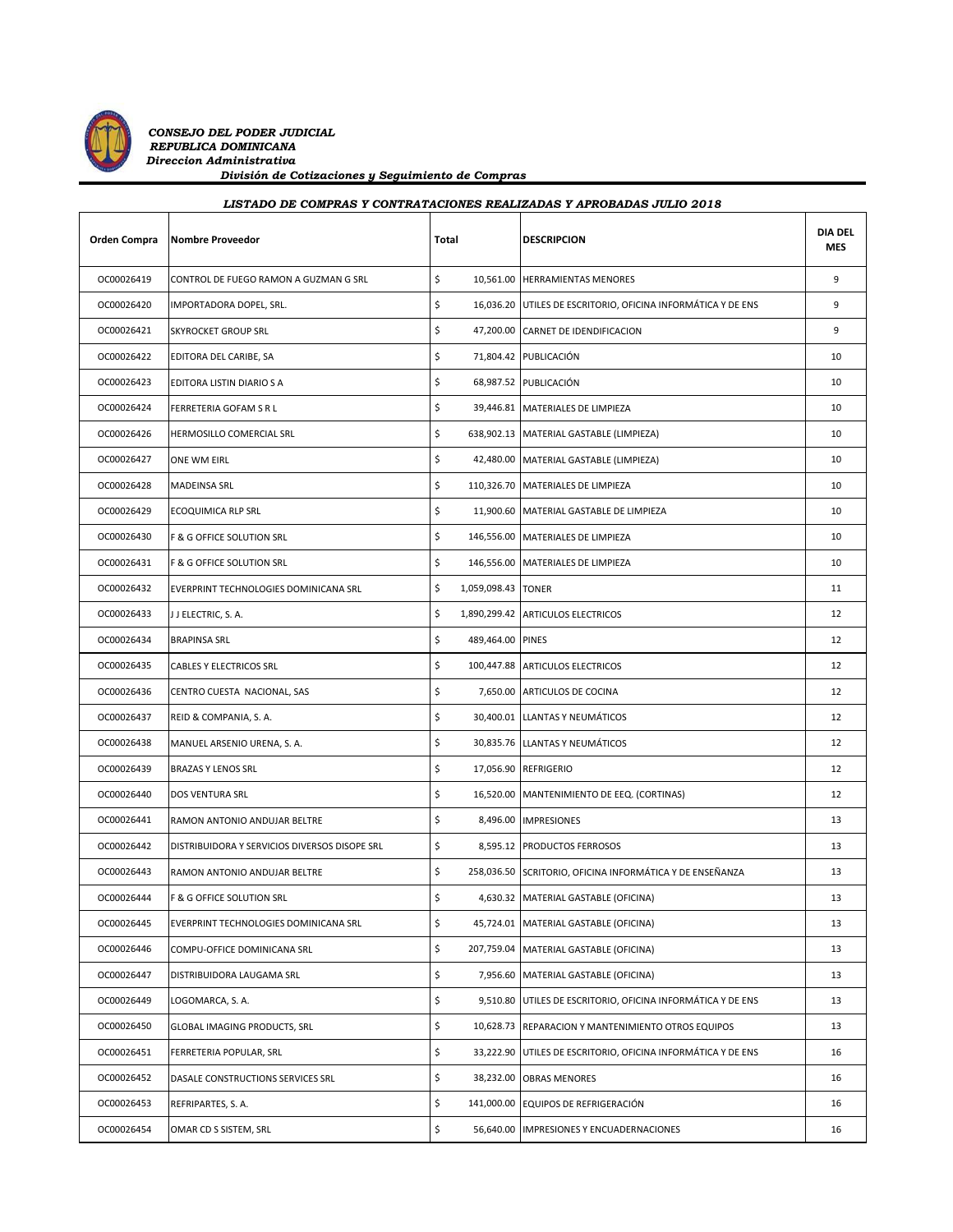

| LISTADO DE COMPRAS Y CONTRATACIONES REALIZADAS Y APROBADAS JULIO 2018 |                                               |       |                    |                                                              |                       |  |  |
|-----------------------------------------------------------------------|-----------------------------------------------|-------|--------------------|--------------------------------------------------------------|-----------------------|--|--|
| Orden Compra                                                          | <b>Nombre Proveedor</b>                       | Total |                    | <b>DESCRIPCION</b>                                           | <b>DIA DEL</b><br>MES |  |  |
| OC00026419                                                            | CONTROL DE FUEGO RAMON A GUZMAN G SRL         | \$    |                    | 10,561.00 HERRAMIENTAS MENORES                               | 9                     |  |  |
| OC00026420                                                            | IMPORTADORA DOPEL, SRL.                       | \$    |                    | 16,036.20 UTILES DE ESCRITORIO, OFICINA INFORMÁTICA Y DE ENS | 9                     |  |  |
| OC00026421                                                            | <b>SKYROCKET GROUP SRL</b>                    | \$    |                    | 47,200.00 CARNET DE IDENDIFICACION                           | 9                     |  |  |
| OC00026422                                                            | EDITORA DEL CARIBE, SA                        | \$    |                    | 71,804.42 PUBLICACIÓN                                        | 10                    |  |  |
| OC00026423                                                            | EDITORA LISTIN DIARIO S A                     | \$    |                    | 68,987.52 PUBLICACIÓN                                        | 10                    |  |  |
| OC00026424                                                            | FERRETERIA GOFAM S R L                        | \$    |                    | 39,446.81 MATERIALES DE LIMPIEZA                             | 10                    |  |  |
| OC00026426                                                            | HERMOSILLO COMERCIAL SRL                      | \$    |                    | 638,902.13 MATERIAL GASTABLE (LIMPIEZA)                      | 10                    |  |  |
| OC00026427                                                            | ONE WM EIRL                                   | \$    |                    | 42,480.00   MATERIAL GASTABLE (LIMPIEZA)                     | 10                    |  |  |
| OC00026428                                                            | MADEINSA SRL                                  | \$    |                    | 110,326.70   MATERIALES DE LIMPIEZA                          | 10                    |  |  |
| OC00026429                                                            | ECOQUIMICA RLP SRL                            | \$    |                    | 11,900.60 MATERIAL GASTABLE DE LIMPIEZA                      | 10                    |  |  |
| OC00026430                                                            | F & G OFFICE SOLUTION SRL                     | \$    |                    | 146,556.00 MATERIALES DE LIMPIEZA                            | 10                    |  |  |
| OC00026431                                                            | F & G OFFICE SOLUTION SRL                     | \$    |                    | 146,556.00 MATERIALES DE LIMPIEZA                            | 10                    |  |  |
| OC00026432                                                            | EVERPRINT TECHNOLOGIES DOMINICANA SRL         | \$    | 1,059,098.43 TONER |                                                              | 11                    |  |  |
| OC00026433                                                            | J J ELECTRIC, S. A.                           | \$    |                    | 1,890,299.42 ARTICULOS ELECTRICOS                            | 12                    |  |  |
| OC00026434                                                            | <b>BRAPINSA SRL</b>                           | \$    | 489,464.00 PINES   |                                                              | 12                    |  |  |
| OC00026435                                                            | CABLES Y ELECTRICOS SRL                       | \$    |                    | 100,447.88 ARTICULOS ELECTRICOS                              | 12                    |  |  |
| OC00026436                                                            | CENTRO CUESTA NACIONAL, SAS                   | \$    |                    | 7,650.00 ARTICULOS DE COCINA                                 | 12                    |  |  |
| OC00026437                                                            | REID & COMPANIA, S. A.                        | \$    |                    | 30,400.01 LLANTAS Y NEUMÁTICOS                               | 12                    |  |  |
| OC00026438                                                            | MANUEL ARSENIO URENA, S. A.                   | \$    |                    | 30,835.76 LLANTAS Y NEUMÁTICOS                               | 12                    |  |  |
| OC00026439                                                            | <b>BRAZAS Y LENOS SRL</b>                     | \$    |                    | 17,056.90 REFRIGERIO                                         | 12                    |  |  |
| OC00026440                                                            | DOS VENTURA SRL                               | \$    |                    | 16,520.00 MANTENIMIENTO DE EEQ. (CORTINAS)                   | 12                    |  |  |
| OC00026441                                                            | RAMON ANTONIO ANDUJAR BELTRE                  | \$    |                    | 8,496.00 IMPRESIONES                                         | 13                    |  |  |
| OC00026442                                                            | DISTRIBUIDORA Y SERVICIOS DIVERSOS DISOPE SRL | \$    |                    | 8,595.12 PRODUCTOS FERROSOS                                  | 13                    |  |  |
| OC00026443                                                            | RAMON ANTONIO ANDUJAR BELTRE                  | \$    |                    | 258,036.50 SCRITORIO, OFICINA INFORMÁTICA Y DE ENSEÑANZA     | 13                    |  |  |
| OC00026444                                                            | F & G OFFICE SOLUTION SRL                     | \$    |                    | 4,630.32 MATERIAL GASTABLE (OFICINA)                         | 13                    |  |  |
| OC00026445                                                            | EVERPRINT TECHNOLOGIES DOMINICANA SRL         | \$    | 45,724.01          | MATERIAL GASTABLE (OFICINA)                                  | 13                    |  |  |
| OC00026446                                                            | COMPU-OFFICE DOMINICANA SRL                   | \$    |                    | 207,759.04 MATERIAL GASTABLE (OFICINA)                       | 13                    |  |  |
| OC00026447                                                            | DISTRIBUIDORA LAUGAMA SRL                     | \$    | 7,956.60           | MATERIAL GASTABLE (OFICINA)                                  | 13                    |  |  |
| OC00026449                                                            | LOGOMARCA, S. A.                              | \$    | 9,510.80           | UTILES DE ESCRITORIO, OFICINA INFORMÁTICA Y DE ENS           | 13                    |  |  |
| OC00026450                                                            | GLOBAL IMAGING PRODUCTS, SRL                  | \$    | 10,628.73          | REPARACION Y MANTENIMIENTO OTROS EQUIPOS                     | 13                    |  |  |
| OC00026451                                                            | FERRETERIA POPULAR, SRL                       | \$    | 33,222.90          | UTILES DE ESCRITORIO, OFICINA INFORMÁTICA Y DE ENS           | 16                    |  |  |
| OC00026452                                                            | DASALE CONSTRUCTIONS SERVICES SRL             | \$    | 38,232.00          | <b>OBRAS MENORES</b>                                         | 16                    |  |  |

OC00026453 REFRIPARTES, S. A. the set of the set of the set of the set of the set of the set of the set of the set of the set of the set of the set of the set of the set of the set of the set of the set of the set of the s OC00026454 OMAR CD S SISTEM, SRL **\$** 56,640.00 IMPRESIONES Y ENCUADERNACIONES 16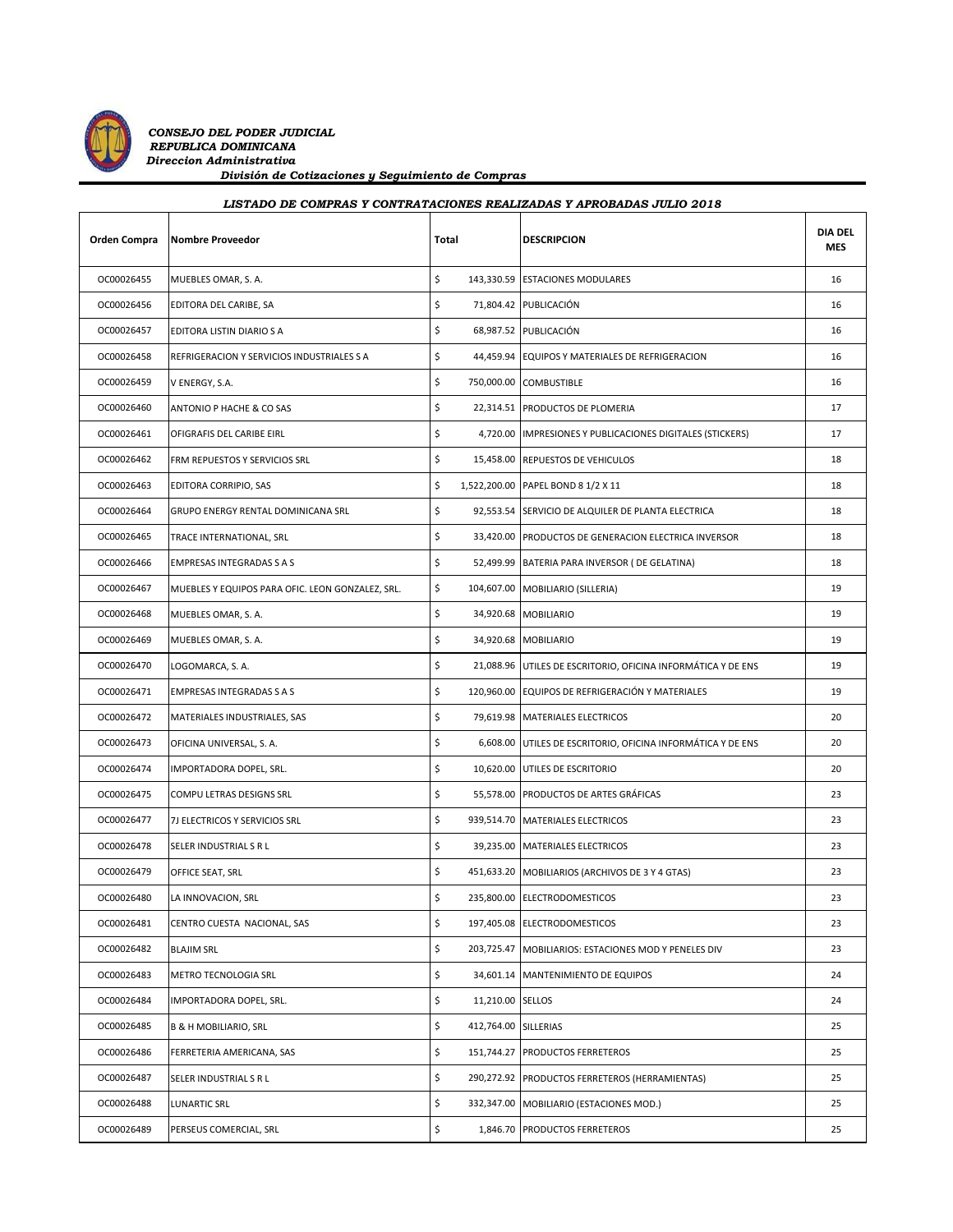

## *LISTADO DE COMPRAS Y CONTRATACIONES REALIZADAS Y APROBADAS JULIO 2018*

| Orden Compra | <b>Nombre Proveedor</b>                          | Total            | <b>DESCRIPCION</b>                                           | <b>DIA DEL</b><br>MES |
|--------------|--------------------------------------------------|------------------|--------------------------------------------------------------|-----------------------|
| OC00026455   | MUEBLES OMAR, S. A.                              | \$               | 143,330.59 ESTACIONES MODULARES                              | 16                    |
| OC00026456   | EDITORA DEL CARIBE, SA                           | \$               | 71,804.42 PUBLICACIÓN                                        | 16                    |
| OC00026457   | EDITORA LISTIN DIARIO S A                        | \$               | 68,987.52 PUBLICACIÓN                                        | 16                    |
| OC00026458   | REFRIGERACION Y SERVICIOS INDUSTRIALES S A       | \$               | 44,459.94 EQUIPOS Y MATERIALES DE REFRIGERACION              | 16                    |
| OC00026459   | V ENERGY, S.A.                                   | \$<br>750,000.00 | COMBUSTIBLE                                                  | 16                    |
| OC00026460   | ANTONIO P HACHE & CO SAS                         | \$               | 22,314.51 PRODUCTOS DE PLOMERIA                              | 17                    |
| OC00026461   | OFIGRAFIS DEL CARIBE EIRL                        | \$               | 4,720.00 IMPRESIONES Y PUBLICACIONES DIGITALES (STICKERS)    | 17                    |
| OC00026462   | FRM REPUESTOS Y SERVICIOS SRL                    | \$               | 15,458.00 REPUESTOS DE VEHICULOS                             | 18                    |
| OC00026463   | EDITORA CORRIPIO, SAS                            | \$               | 1,522,200.00 PAPEL BOND 8 1/2 X 11                           | 18                    |
| OC00026464   | GRUPO ENERGY RENTAL DOMINICANA SRL               | \$               | 92,553.54 SERVICIO DE ALQUILER DE PLANTA ELECTRICA           | 18                    |
| OC00026465   | TRACE INTERNATIONAL, SRL                         | \$               | 33,420.00 PRODUCTOS DE GENERACION ELECTRICA INVERSOR         | 18                    |
| OC00026466   | <b>EMPRESAS INTEGRADAS S A S</b>                 | \$<br>52,499.99  | BATERIA PARA INVERSOR ( DE GELATINA)                         | 18                    |
| OC00026467   | MUEBLES Y EQUIPOS PARA OFIC. LEON GONZALEZ, SRL. | \$               | 104,607.00 MOBILIARIO (SILLERIA)                             | 19                    |
| OC00026468   | MUEBLES OMAR, S. A.                              | \$               | 34,920.68 MOBILIARIO                                         | 19                    |
| OC00026469   | MUEBLES OMAR, S. A.                              | \$               | 34,920.68 MOBILIARIO                                         | 19                    |
| OC00026470   | LOGOMARCA, S. A.                                 | \$               | 21,088.96 UTILES DE ESCRITORIO, OFICINA INFORMÁTICA Y DE ENS | 19                    |
| OC00026471   | <b>EMPRESAS INTEGRADAS S A S</b>                 | \$               | 120,960.00 EQUIPOS DE REFRIGERACIÓN Y MATERIALES             | 19                    |
| OC00026472   | MATERIALES INDUSTRIALES, SAS                     | \$               | 79,619.98 MATERIALES ELECTRICOS                              | 20                    |
| OC00026473   | OFICINA UNIVERSAL, S. A.                         | \$               | 6,608.00 UTILES DE ESCRITORIO, OFICINA INFORMÁTICA Y DE ENS  | 20                    |
| OC00026474   | IMPORTADORA DOPEL, SRL.                          | \$               | 10,620.00 UTILES DE ESCRITORIO                               | 20                    |
| OC00026475   | COMPU LETRAS DESIGNS SRL                         | \$               | 55,578.00 PRODUCTOS DE ARTES GRÁFICAS                        | 23                    |
| OC00026477   | 7J ELECTRICOS Y SERVICIOS SRL                    | \$               | 939,514.70 MATERIALES ELECTRICOS                             | 23                    |
| OC00026478   | SELER INDUSTRIAL S R L                           | \$               | 39,235.00 MATERIALES ELECTRICOS                              | 23                    |
| OC00026479   | OFFICE SEAT, SRL                                 | \$               | 451,633.20 MOBILIARIOS (ARCHIVOS DE 3 Y 4 GTAS)              | 23                    |
| OC00026480   | LA INNOVACION, SRL                               | \$               | 235,800.00 ELECTRODOMESTICOS                                 | 23                    |
| OC00026481   | CENTRO CUESTA NACIONAL, SAS                      | \$               | 197,405.08 ELECTRODOMESTICOS                                 | 23                    |
| OC00026482   | <b>BLAJIM SRL</b>                                | \$<br>203,725.47 | MOBILIARIOS: ESTACIONES MOD Y PENELES DIV                    | 23                    |
| OC00026483   | METRO TECNOLOGIA SRL                             | \$<br>34,601.14  | MANTENIMIENTO DE EQUIPOS                                     | 24                    |
| OC00026484   | IMPORTADORA DOPEL, SRL.                          | \$<br>11,210.00  | SELLOS                                                       | 24                    |
| OC00026485   | <b>B &amp; H MOBILIARIO, SRL</b>                 | \$<br>412,764.00 | SILLERIAS                                                    | 25                    |
| OC00026486   | FERRETERIA AMERICANA, SAS                        | \$<br>151,744.27 | PRODUCTOS FERRETEROS                                         | 25                    |
| OC00026487   | SELER INDUSTRIAL S R L                           | \$               | 290,272.92 PRODUCTOS FERRETEROS (HERRAMIENTAS)               | 25                    |
| OC00026488   | LUNARTIC SRL                                     | \$<br>332,347.00 | MOBILIARIO (ESTACIONES MOD.)                                 | 25                    |
| OC00026489   | PERSEUS COMERCIAL, SRL                           | \$<br>1,846.70   | PRODUCTOS FERRETEROS                                         | 25                    |